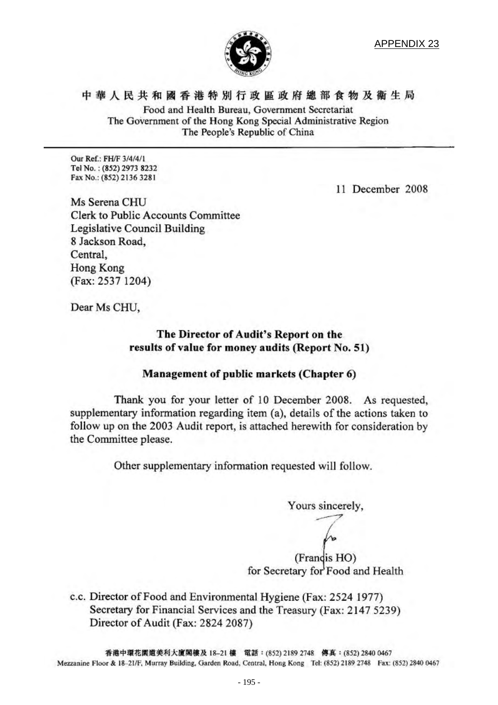

APPENDIX 23

中 華 人 民 共 和 國 香 港 特 別 行 政 區 政 府 總 部 食 物 及 衛 生 局 Food and Health Bureau, Government Secretariat The Government of the Hong Kong Special Administrative Region The People's Republic of China

Our Ref.: FH/F 3/4/4/1 Tel No.: (852) 2973 8232 Fax No.: (852) 2136 3281

11 December 2008

Ms Serena CHU **Clerk to Public Accounts Committee** Legislative Council Building 8 Jackson Road, Central. Hong Kong (Fax: 2537 1204)

Dear Ms CHU,

#### The Director of Audit's Report on the results of value for money audits (Report No. 51)

#### Management of public markets (Chapter 6)

Thank you for your letter of 10 December 2008. As requested, supplementary information regarding item (a), details of the actions taken to follow up on the 2003 Audit report, is attached herewith for consideration by the Committee please.

Other supplementary information requested will follow.

Yours sincerely,

(Francis HO) for Secretary for Food and Health

c.c. Director of Food and Environmental Hygiene (Fax: 2524 1977) Secretary for Financial Services and the Treasury (Fax: 2147 5239) Director of Audit (Fax: 2824 2087)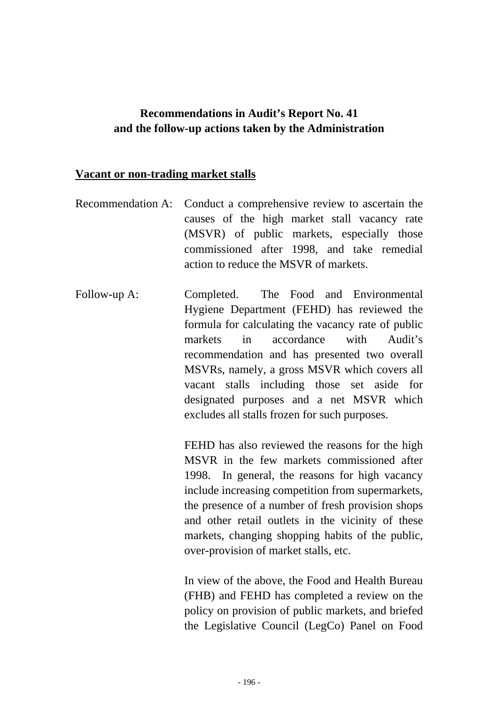# **Recommendations in Audit's Report No. 41 and the follow-up actions taken by the Administration**

#### **Vacant or non-trading market stalls**

- Recommendation A: Conduct a comprehensive review to ascertain the causes of the high market stall vacancy rate (MSVR) of public markets, especially those commissioned after 1998, and take remedial action to reduce the MSVR of markets.
- Follow-up A: Completed. The Food and Environmental Hygiene Department (FEHD) has reviewed the formula for calculating the vacancy rate of public markets in accordance with Audit's recommendation and has presented two overall MSVRs, namely, a gross MSVR which covers all vacant stalls including those set aside for designated purposes and a net MSVR which excludes all stalls frozen for such purposes.

FEHD has also reviewed the reasons for the high MSVR in the few markets commissioned after 1998. In general, the reasons for high vacancy include increasing competition from supermarkets, the presence of a number of fresh provision shops and other retail outlets in the vicinity of these markets, changing shopping habits of the public, over-provision of market stalls, etc.

In view of the above, the Food and Health Bureau (FHB) and FEHD has completed a review on the policy on provision of public markets, and briefed the Legislative Council (LegCo) Panel on Food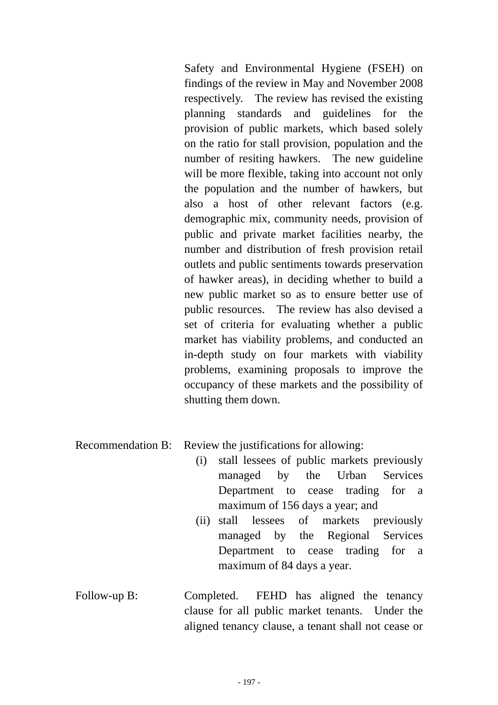Safety and Environmental Hygiene (FSEH) on findings of the review in May and November 2008 respectively. The review has revised the existing planning standards and guidelines for the provision of public markets, which based solely on the ratio for stall provision, population and the number of resiting hawkers. The new guideline will be more flexible, taking into account not only the population and the number of hawkers, but also a host of other relevant factors (e.g. demographic mix, community needs, provision of public and private market facilities nearby, the number and distribution of fresh provision retail outlets and public sentiments towards preservation of hawker areas), in deciding whether to build a new public market so as to ensure better use of public resources. The review has also devised a set of criteria for evaluating whether a public market has viability problems, and conducted an in-depth study on four markets with viability problems, examining proposals to improve the occupancy of these markets and the possibility of shutting them down.

Recommendation B: Review the justifications for allowing:

- (i) stall lessees of public markets previously managed by the Urban Services Department to cease trading for a maximum of 156 days a year; and
- (ii) stall lessees of markets previously managed by the Regional Services Department to cease trading for a maximum of 84 days a year.
- Follow-up B: Completed. FEHD has aligned the tenancy clause for all public market tenants. Under the aligned tenancy clause, a tenant shall not cease or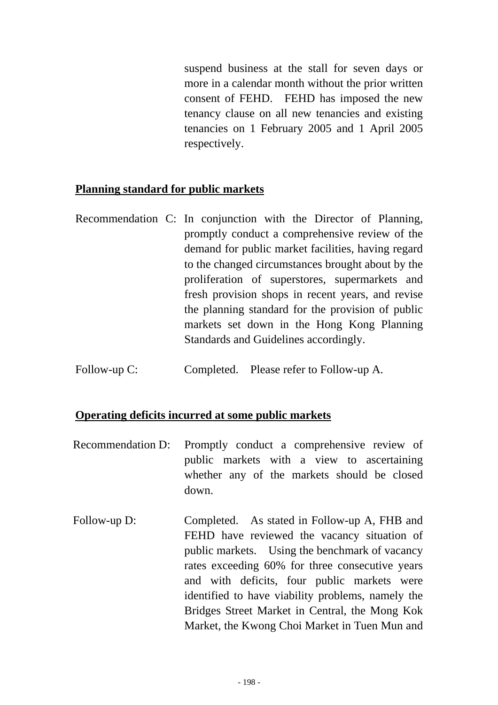suspend business at the stall for seven days or more in a calendar month without the prior written consent of FEHD. FEHD has imposed the new tenancy clause on all new tenancies and existing tenancies on 1 February 2005 and 1 April 2005 respectively.

### **Planning standard for public markets**

- Recommendation C: In conjunction with the Director of Planning, promptly conduct a comprehensive review of the demand for public market facilities, having regard to the changed circumstances brought about by the proliferation of superstores, supermarkets and fresh provision shops in recent years, and revise the planning standard for the provision of public markets set down in the Hong Kong Planning Standards and Guidelines accordingly.
- Follow-up C: Completed. Please refer to Follow-up A.

## **Operating deficits incurred at some public markets**

- Recommendation D: Promptly conduct a comprehensive review of public markets with a view to ascertaining whether any of the markets should be closed down.
- Follow-up D: Completed. As stated in Follow-up A, FHB and FEHD have reviewed the vacancy situation of public markets. Using the benchmark of vacancy rates exceeding 60% for three consecutive years and with deficits, four public markets were identified to have viability problems, namely the Bridges Street Market in Central, the Mong Kok Market, the Kwong Choi Market in Tuen Mun and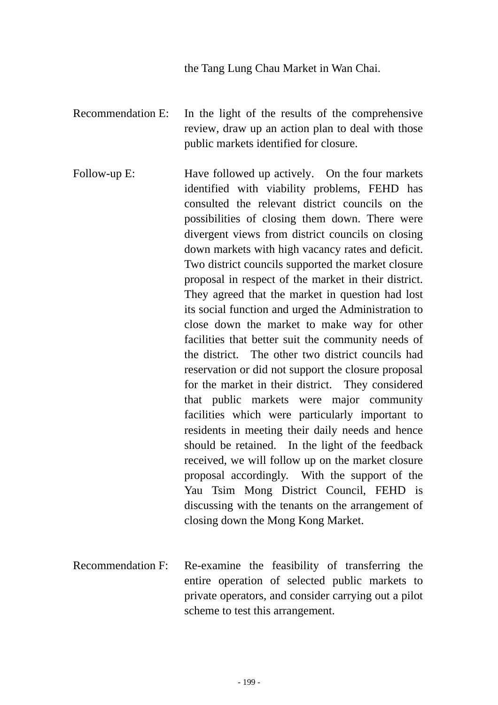the Tang Lung Chau Market in Wan Chai.

- Recommendation E: In the light of the results of the comprehensive review, draw up an action plan to deal with those public markets identified for closure.
- Follow-up E: Have followed up actively. On the four markets identified with viability problems, FEHD has consulted the relevant district councils on the possibilities of closing them down. There were divergent views from district councils on closing down markets with high vacancy rates and deficit. Two district councils supported the market closure proposal in respect of the market in their district. They agreed that the market in question had lost its social function and urged the Administration to close down the market to make way for other facilities that better suit the community needs of the district. The other two district councils had reservation or did not support the closure proposal for the market in their district. They considered that public markets were major community facilities which were particularly important to residents in meeting their daily needs and hence should be retained. In the light of the feedback received, we will follow up on the market closure proposal accordingly. With the support of the Yau Tsim Mong District Council, FEHD is discussing with the tenants on the arrangement of closing down the Mong Kong Market.
- Recommendation F: Re-examine the feasibility of transferring the entire operation of selected public markets to private operators, and consider carrying out a pilot scheme to test this arrangement.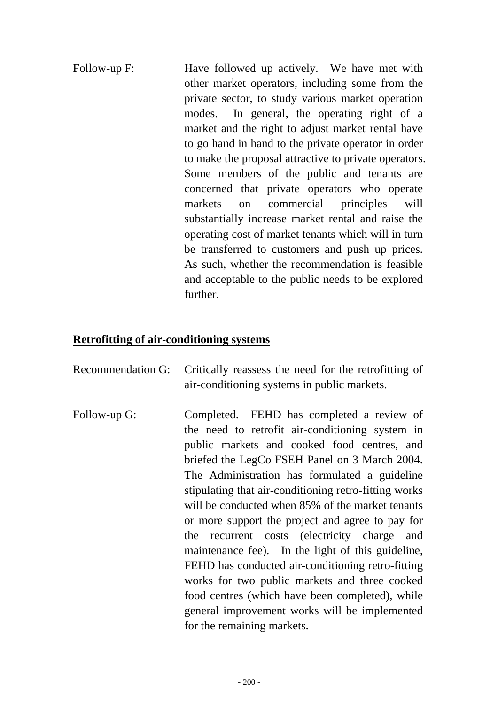Follow-up F: Have followed up actively. We have met with other market operators, including some from the private sector, to study various market operation modes. In general, the operating right of a market and the right to adjust market rental have to go hand in hand to the private operator in order to make the proposal attractive to private operators. Some members of the public and tenants are concerned that private operators who operate markets on commercial principles will substantially increase market rental and raise the operating cost of market tenants which will in turn be transferred to customers and push up prices. As such, whether the recommendation is feasible and acceptable to the public needs to be explored further.

### **Retrofitting of air-conditioning systems**

- Recommendation G: Critically reassess the need for the retrofitting of air-conditioning systems in public markets.
- Follow-up G: Completed. FEHD has completed a review of the need to retrofit air-conditioning system in public markets and cooked food centres, and briefed the LegCo FSEH Panel on 3 March 2004. The Administration has formulated a guideline stipulating that air-conditioning retro-fitting works will be conducted when 85% of the market tenants or more support the project and agree to pay for the recurrent costs (electricity charge and maintenance fee). In the light of this guideline, FEHD has conducted air-conditioning retro-fitting works for two public markets and three cooked food centres (which have been completed), while general improvement works will be implemented for the remaining markets.